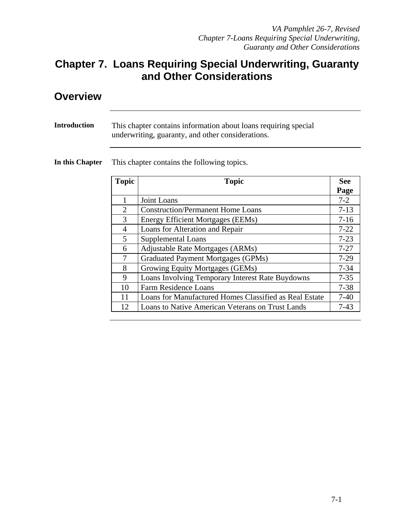#### **Chapter 7. Loans Requiring Special Underwriting, Guaranty and Other Considerations**

#### **Overview**

| Introduction | This chapter contains information about loans requiring special<br>underwriting, guaranty, and other considerations. |  |
|--------------|----------------------------------------------------------------------------------------------------------------------|--|
|              |                                                                                                                      |  |

**In this Chapter** This chapter contains the following topics.

| <b>Topic</b> | <b>Topic</b>                                           |          |
|--------------|--------------------------------------------------------|----------|
|              |                                                        | Page     |
| 1            | Joint Loans                                            | $7 - 2$  |
| 2            | <b>Construction/Permanent Home Loans</b>               | $7-13$   |
| 3            | <b>Energy Efficient Mortgages (EEMs)</b>               | $7 - 16$ |
| 4            | Loans for Alteration and Repair                        | $7 - 22$ |
| 5            | <b>Supplemental Loans</b>                              | $7 - 23$ |
| 6            | Adjustable Rate Mortgages (ARMs)                       | $7 - 27$ |
| 7            | <b>Graduated Payment Mortgages (GPMs)</b>              |          |
| 8            | Growing Equity Mortgages (GEMs)                        | $7 - 34$ |
| 9            | Loans Involving Temporary Interest Rate Buydowns       | $7 - 35$ |
| 10           | <b>Farm Residence Loans</b>                            | $7 - 38$ |
| 11           | Loans for Manufactured Homes Classified as Real Estate | $7-40$   |
| 12           | Loans to Native American Veterans on Trust Lands       | $7 - 43$ |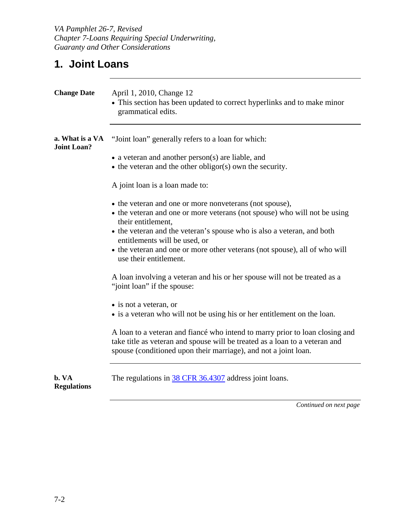*VA Pamphlet 26-7, Revised Chapter 7-Loans Requiring Special Underwriting, Guaranty and Other Considerations* 

## **1. Joint Loans**

| <b>Change Date</b>                    | April 1, 2010, Change 12<br>• This section has been updated to correct hyperlinks and to make minor<br>grammatical edits.                                                                                                                                                                                                                                                     |  |  |  |
|---------------------------------------|-------------------------------------------------------------------------------------------------------------------------------------------------------------------------------------------------------------------------------------------------------------------------------------------------------------------------------------------------------------------------------|--|--|--|
| a. What is a VA<br><b>Joint Loan?</b> | "Joint loan" generally refers to a loan for which:<br>$\bullet$ a veteran and another person(s) are liable, and<br>$\bullet$ the veteran and the other obligor(s) own the security.<br>A joint loan is a loan made to:                                                                                                                                                        |  |  |  |
|                                       | • the veteran and one or more nonveterans (not spouse),<br>• the veteran and one or more veterans (not spouse) who will not be using<br>their entitlement.<br>• the veteran and the veteran's spouse who is also a veteran, and both<br>entitlements will be used, or<br>• the veteran and one or more other veterans (not spouse), all of who will<br>use their entitlement. |  |  |  |
|                                       | A loan involving a veteran and his or her spouse will not be treated as a<br>"joint loan" if the spouse:<br>• is not a veteran, or<br>• is a veteran who will not be using his or her entitlement on the loan.                                                                                                                                                                |  |  |  |
|                                       | A loan to a veteran and fiancé who intend to marry prior to loan closing and<br>take title as veteran and spouse will be treated as a loan to a veteran and<br>spouse (conditioned upon their marriage), and not a joint loan.                                                                                                                                                |  |  |  |
| b. VA<br><b>Regulations</b>           | The regulations in 38 CFR 36.4307 address joint loans.                                                                                                                                                                                                                                                                                                                        |  |  |  |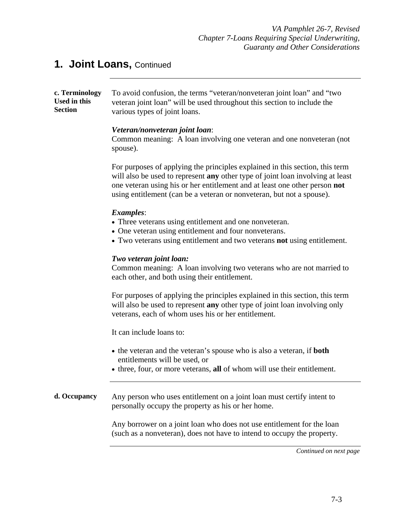**c. Terminology Used in this Section**  To avoid confusion, the terms "veteran/nonveteran joint loan" and "two veteran joint loan" will be used throughout this section to include the various types of joint loans.

#### *Veteran/nonveteran joint loan*:

Common meaning: A loan involving one veteran and one nonveteran (not spouse).

For purposes of applying the principles explained in this section, this term will also be used to represent **any** other type of joint loan involving at least one veteran using his or her entitlement and at least one other person **not**  using entitlement (can be a veteran or nonveteran, but not a spouse).

#### *Examples*:

- Three veterans using entitlement and one nonveteran.
- One veteran using entitlement and four nonveterans.
- Two veterans using entitlement and two veterans **not** using entitlement.

#### *Two veteran joint loan:*

Common meaning: A loan involving two veterans who are not married to each other, and both using their entitlement.

For purposes of applying the principles explained in this section, this term will also be used to represent **any** other type of joint loan involving only veterans, each of whom uses his or her entitlement.

It can include loans to:

- the veteran and the veteran's spouse who is also a veteran, if **both** entitlements will be used, or
- three, four, or more veterans, **all** of whom will use their entitlement.

**d. Occupancy** Any person who uses entitlement on a joint loan must certify intent to personally occupy the property as his or her home.

> Any borrower on a joint loan who does not use entitlement for the loan (such as a nonveteran), does not have to intend to occupy the property.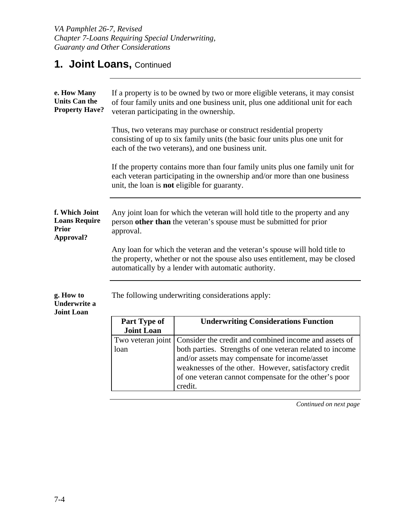| e. How Many<br><b>Units Can the</b><br><b>Property Have?</b>        | If a property is to be owned by two or more eligible veterans, it may consist<br>of four family units and one business unit, plus one additional unit for each<br>veteran participating in the ownership.         |  |  |  |  |  |
|---------------------------------------------------------------------|-------------------------------------------------------------------------------------------------------------------------------------------------------------------------------------------------------------------|--|--|--|--|--|
|                                                                     | Thus, two veterans may purchase or construct residential property<br>consisting of up to six family units (the basic four units plus one unit for<br>each of the two veterans), and one business unit.            |  |  |  |  |  |
|                                                                     | If the property contains more than four family units plus one family unit for<br>each veteran participating in the ownership and/or more than one business<br>unit, the loan is <b>not</b> eligible for guaranty. |  |  |  |  |  |
| f. Which Joint<br><b>Loans Require</b><br><b>Prior</b><br>Approval? | Any joint loan for which the veteran will hold title to the property and any<br>person other than the veteran's spouse must be submitted for prior<br>approval.                                                   |  |  |  |  |  |
|                                                                     | Any loan for which the veteran and the veteran's spouse will hold title to<br>the property, whether or not the spouse also uses entitlement, may be closed<br>automatically by a lender with automatic authority. |  |  |  |  |  |
| g. How to<br><b>Underwrite a</b><br><b>Joint Loan</b>               | The following underwriting considerations apply:                                                                                                                                                                  |  |  |  |  |  |
|                                                                     | <b>Underwriting Considerations Function</b><br>Part Type of<br><b>Joint Loan</b>                                                                                                                                  |  |  |  |  |  |
|                                                                     | Consider the credit and combined income and assets of<br>Two veteran joint                                                                                                                                        |  |  |  |  |  |
|                                                                     | both parties. Strengths of one veteran related to income<br>loan                                                                                                                                                  |  |  |  |  |  |
|                                                                     | and/or assets may compensate for income/asset<br>weaknesses of the other. However, satisfactory credit                                                                                                            |  |  |  |  |  |
|                                                                     | of one veteran cannot compensate for the other's poor<br>credit.                                                                                                                                                  |  |  |  |  |  |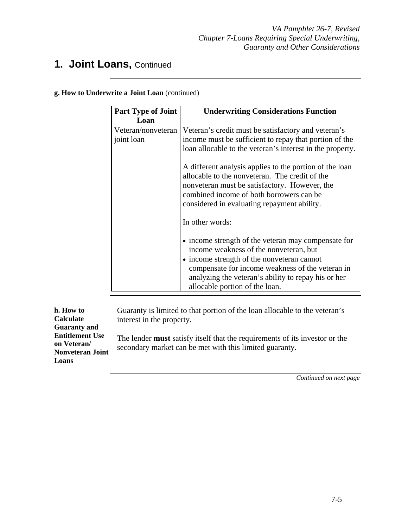**g. How to Underwrite a Joint Loan** (continued)

| <b>Part Type of Joint</b>        | <b>Underwriting Considerations Function</b>                                                                                                                                                                                                                                              |  |  |
|----------------------------------|------------------------------------------------------------------------------------------------------------------------------------------------------------------------------------------------------------------------------------------------------------------------------------------|--|--|
| Loan                             |                                                                                                                                                                                                                                                                                          |  |  |
| Veteran/nonveteran<br>joint loan | Veteran's credit must be satisfactory and veteran's<br>income must be sufficient to repay that portion of the<br>loan allocable to the veteran's interest in the property.                                                                                                               |  |  |
|                                  | A different analysis applies to the portion of the loan<br>allocable to the nonveteran. The credit of the<br>nonveteran must be satisfactory. However, the<br>combined income of both borrowers can be<br>considered in evaluating repayment ability.                                    |  |  |
|                                  | In other words:                                                                                                                                                                                                                                                                          |  |  |
|                                  | • income strength of the veteran may compensate for<br>income weakness of the nonveteran, but<br>• income strength of the nonveteran cannot<br>compensate for income weakness of the veteran in<br>analyzing the veteran's ability to repay his or her<br>allocable portion of the loan. |  |  |

| h. How to                                                                                        | Guaranty is limited to that portion of the loan allocable to the veteran's                                                                    |
|--------------------------------------------------------------------------------------------------|-----------------------------------------------------------------------------------------------------------------------------------------------|
| Calculate                                                                                        | interest in the property.                                                                                                                     |
| <b>Guaranty and</b><br><b>Entitlement Use</b><br>on Veteran/<br><b>Nonveteran Joint</b><br>Loans | The lender <b>must</b> satisfy itself that the requirements of its investor or the<br>secondary market can be met with this limited guaranty. |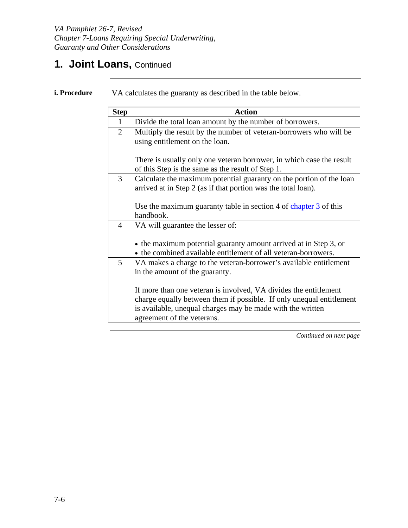| <b>Step</b>    | <b>Action</b>                                                                                                                                                                                                                        |  |  |  |  |
|----------------|--------------------------------------------------------------------------------------------------------------------------------------------------------------------------------------------------------------------------------------|--|--|--|--|
| 1              | Divide the total loan amount by the number of borrowers.                                                                                                                                                                             |  |  |  |  |
| $\overline{2}$ | Multiply the result by the number of veteran-borrowers who will be<br>using entitlement on the loan.                                                                                                                                 |  |  |  |  |
|                | There is usually only one veteran borrower, in which case the result<br>of this Step is the same as the result of Step 1.                                                                                                            |  |  |  |  |
| 3              | Calculate the maximum potential guaranty on the portion of the loan<br>arrived at in Step 2 (as if that portion was the total loan).                                                                                                 |  |  |  |  |
|                | Use the maximum guaranty table in section 4 of chapter $\frac{3}{3}$ of this<br>handbook.                                                                                                                                            |  |  |  |  |
| $\overline{4}$ | VA will guarantee the lesser of:                                                                                                                                                                                                     |  |  |  |  |
|                | • the maximum potential guaranty amount arrived at in Step 3, or<br>• the combined available entitlement of all veteran-borrowers.                                                                                                   |  |  |  |  |
| 5              | VA makes a charge to the veteran-borrower's available entitlement<br>in the amount of the guaranty.                                                                                                                                  |  |  |  |  |
|                | If more than one veteran is involved, VA divides the entitlement<br>charge equally between them if possible. If only unequal entitlement<br>is available, unequal charges may be made with the written<br>agreement of the veterans. |  |  |  |  |

**i. Procedure** VA calculates the guaranty as described in the table below.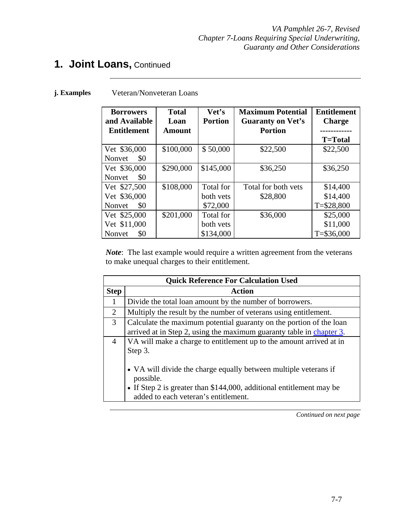#### **j. Examples** Veteran/Nonveteran Loans

| <b>Borrowers</b><br>and Available<br><b>Entitlement</b> | <b>Total</b><br>Loan<br>Amount | Vet's<br><b>Portion</b>             | <b>Maximum Potential</b><br><b>Guaranty on Vet's</b><br><b>Portion</b> | <b>Entitlement</b><br><b>Charge</b><br>--------<br><b>T=Total</b> |
|---------------------------------------------------------|--------------------------------|-------------------------------------|------------------------------------------------------------------------|-------------------------------------------------------------------|
| Vet \$36,000<br>\$0<br>Nonvet                           | \$100,000                      | \$50,000                            | \$22,500                                                               | \$22,500                                                          |
| Vet \$36,000<br>\$0<br>Nonvet                           | \$290,000                      | \$145,000                           | \$36,250                                                               | \$36,250                                                          |
| Vet \$27,500<br>Vet \$36,000<br>\$0<br>Nonvet           | \$108,000                      | Total for<br>both vets<br>\$72,000  | Total for both vets<br>\$28,800                                        | \$14,400<br>\$14,400<br>$T = $28,800$                             |
| Vet \$25,000<br>Vet \$11,000<br>Nonvet<br>\$0           | \$201,000                      | Total for<br>both vets<br>\$134,000 | \$36,000                                                               | \$25,000<br>\$11,000<br>$T = $36,000$                             |

*Note*: The last example would require a written agreement from the veterans to make unequal charges to their entitlement.

| <b>Quick Reference For Calculation Used</b> |                                                                                                                                                       |  |  |  |
|---------------------------------------------|-------------------------------------------------------------------------------------------------------------------------------------------------------|--|--|--|
| <b>Step</b>                                 | Action                                                                                                                                                |  |  |  |
| 1                                           | Divide the total loan amount by the number of borrowers.                                                                                              |  |  |  |
| 2                                           | Multiply the result by the number of veterans using entitlement.                                                                                      |  |  |  |
| 3                                           | Calculate the maximum potential guaranty on the portion of the loan<br>arrived at in Step 2, using the maximum guaranty table in chapter 3.           |  |  |  |
| $\overline{4}$                              | VA will make a charge to entitlement up to the amount arrived at in<br>Step 3.                                                                        |  |  |  |
|                                             | • VA will divide the charge equally between multiple veterans if<br>possible.<br>• If Step 2 is greater than \$144,000, additional entitlement may be |  |  |  |
|                                             | added to each veteran's entitlement.                                                                                                                  |  |  |  |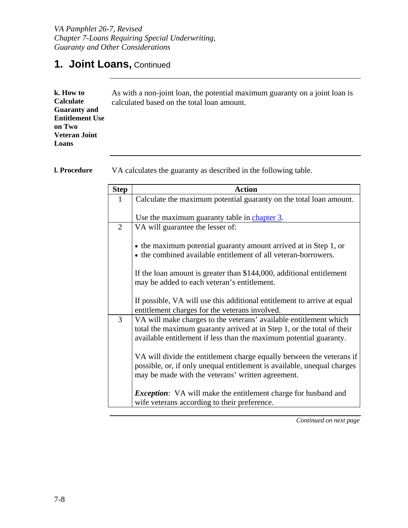| k. How to<br>As with a non-joint loan, the potential maximum guaranty on a joint loan is<br><b>Calculate</b><br>calculated based on the total loan amount.<br><b>Guaranty and</b><br><b>Entitlement Use</b><br>on Two<br><b>Veteran Joint</b><br>Loans |
|--------------------------------------------------------------------------------------------------------------------------------------------------------------------------------------------------------------------------------------------------------|
|--------------------------------------------------------------------------------------------------------------------------------------------------------------------------------------------------------------------------------------------------------|

**l. Procedure** VA calculates the guaranty as described in the following table.

| <b>Step</b>    | <b>Action</b>                                                                                                                                                                                                     |
|----------------|-------------------------------------------------------------------------------------------------------------------------------------------------------------------------------------------------------------------|
| 1              | Calculate the maximum potential guaranty on the total loan amount.                                                                                                                                                |
|                | Use the maximum guaranty table in chapter 3.                                                                                                                                                                      |
| $\overline{2}$ | VA will guarantee the lesser of:                                                                                                                                                                                  |
|                | • the maximum potential guaranty amount arrived at in Step 1, or<br>• the combined available entitlement of all veteran-borrowers.                                                                                |
|                | If the loan amount is greater than \$144,000, additional entitlement<br>may be added to each veteran's entitlement.                                                                                               |
|                | If possible, VA will use this additional entitlement to arrive at equal<br>entitlement charges for the veterans involved.                                                                                         |
| 3              | VA will make charges to the veterans' available entitlement which<br>total the maximum guaranty arrived at in Step 1, or the total of their<br>available entitlement if less than the maximum potential guaranty. |
|                | VA will divide the entitlement charge equally between the veterans if<br>possible, or, if only unequal entitlement is available, unequal charges<br>may be made with the veterans' written agreement.             |
|                | <i>Exception</i> : VA will make the entitlement charge for husband and<br>wife veterans according to their preference.                                                                                            |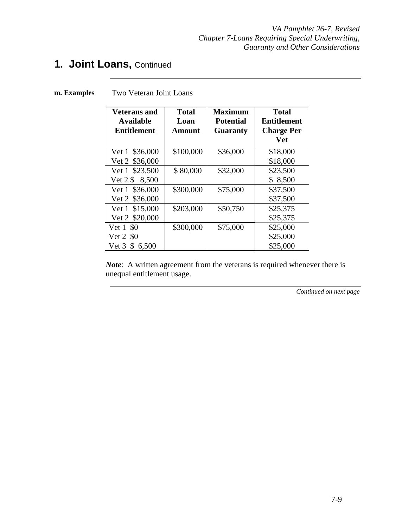*VA Pamphlet 26-7, Revised Chapter 7-Loans Requiring Special Underwriting, Guaranty and Other Considerations* 

## **1. Joint Loans,** Continued

| <b>Veterans and</b><br><b>Available</b><br><b>Entitlement</b> | <b>Total</b><br>Loan<br>Amount | <b>Maximum</b><br><b>Potential</b><br><b>Guaranty</b> | <b>Total</b><br>Entitlement<br><b>Charge Per</b><br><b>Vet</b> |
|---------------------------------------------------------------|--------------------------------|-------------------------------------------------------|----------------------------------------------------------------|
| Vet 1 \$36,000                                                | \$100,000                      | \$36,000                                              | \$18,000                                                       |
| Vet 2 \$36,000                                                |                                |                                                       | \$18,000                                                       |
| Vet 1 \$23,500                                                | \$80,000                       | \$32,000                                              | \$23,500                                                       |
| Vet 2 \$ 8,500                                                |                                |                                                       | \$8,500                                                        |
| Vet 1 \$36,000                                                | \$300,000                      | \$75,000                                              | \$37,500                                                       |
| Vet 2 \$36,000                                                |                                |                                                       | \$37,500                                                       |
| Vet 1 \$15,000                                                | \$203,000                      | \$50,750                                              | \$25,375                                                       |
| Vet 2 \$20,000                                                |                                |                                                       | \$25,375                                                       |
| Vet 1 \$0                                                     | \$300,000                      | \$75,000                                              | \$25,000                                                       |
| Vet 2 \$0                                                     |                                |                                                       | \$25,000                                                       |
| \$<br>Vet 3<br>6,500                                          |                                |                                                       | \$25,000                                                       |

**m. Examples** Two Veteran Joint Loans

*Note*: A written agreement from the veterans is required whenever there is unequal entitlement usage.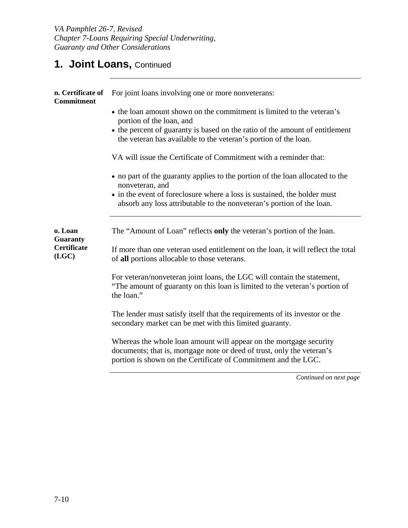| n. Certificate of<br><b>Commitment</b> | For joint loans involving one or more nonveterans:                                                                                                                                                                                                   |
|----------------------------------------|------------------------------------------------------------------------------------------------------------------------------------------------------------------------------------------------------------------------------------------------------|
|                                        | • the loan amount shown on the commitment is limited to the veteran's<br>portion of the loan, and<br>• the percent of guaranty is based on the ratio of the amount of entitlement<br>the veteran has available to the veteran's portion of the loan. |
|                                        | VA will issue the Certificate of Commitment with a reminder that:                                                                                                                                                                                    |
|                                        | • no part of the guaranty applies to the portion of the loan allocated to the<br>nonveteran, and                                                                                                                                                     |
|                                        | • in the event of foreclosure where a loss is sustained, the holder must<br>absorb any loss attributable to the nonveteran's portion of the loan.                                                                                                    |
| o. Loan<br><b>Guaranty</b>             | The "Amount of Loan" reflects only the veteran's portion of the loan.                                                                                                                                                                                |
| <b>Certificate</b><br>(LGC)            | If more than one veteran used entitlement on the loan, it will reflect the total<br>of all portions allocable to those veterans.                                                                                                                     |
|                                        | For veteran/nonveteran joint loans, the LGC will contain the statement,<br>"The amount of guaranty on this loan is limited to the veteran's portion of<br>the loan."                                                                                 |
|                                        | The lender must satisfy itself that the requirements of its investor or the<br>secondary market can be met with this limited guaranty.                                                                                                               |
|                                        | Whereas the whole loan amount will appear on the mortgage security<br>documents; that is, mortgage note or deed of trust, only the veteran's<br>portion is shown on the Certificate of Commitment and the LGC.                                       |
|                                        | Continued on next page                                                                                                                                                                                                                               |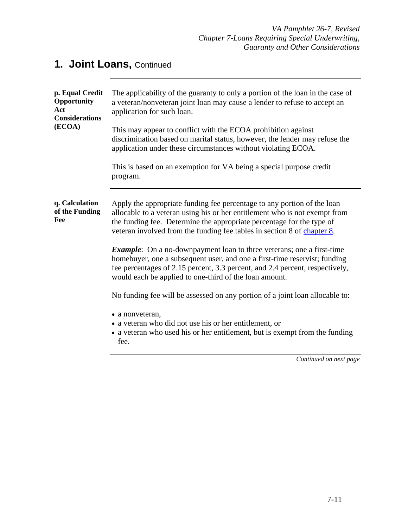| p. Equal Credit<br>Opportunity<br>Act<br><b>Considerations</b><br>(ECOA) | The applicability of the guaranty to only a portion of the loan in the case of<br>a veteran/nonveteran joint loan may cause a lender to refuse to accept an<br>application for such loan.                                                                                                                 |
|--------------------------------------------------------------------------|-----------------------------------------------------------------------------------------------------------------------------------------------------------------------------------------------------------------------------------------------------------------------------------------------------------|
|                                                                          | This may appear to conflict with the ECOA prohibition against<br>discrimination based on marital status, however, the lender may refuse the<br>application under these circumstances without violating ECOA.                                                                                              |
|                                                                          | This is based on an exemption for VA being a special purpose credit<br>program.                                                                                                                                                                                                                           |
| q. Calculation<br>of the Funding<br>Fee                                  | Apply the appropriate funding fee percentage to any portion of the loan<br>allocable to a veteran using his or her entitlement who is not exempt from<br>the funding fee. Determine the appropriate percentage for the type of<br>veteran involved from the funding fee tables in section 8 of chapter 8. |
|                                                                          | <i>Example</i> : On a no-downpayment loan to three veterans; one a first-time<br>homebuyer, one a subsequent user, and one a first-time reservist; funding<br>fee percentages of 2.15 percent, 3.3 percent, and 2.4 percent, respectively,<br>would each be applied to one-third of the loan amount.      |
|                                                                          | No funding fee will be assessed on any portion of a joint loan allocable to:                                                                                                                                                                                                                              |
|                                                                          | • a nonveteran,<br>• a veteran who did not use his or her entitlement, or<br>• a veteran who used his or her entitlement, but is exempt from the funding<br>fee.                                                                                                                                          |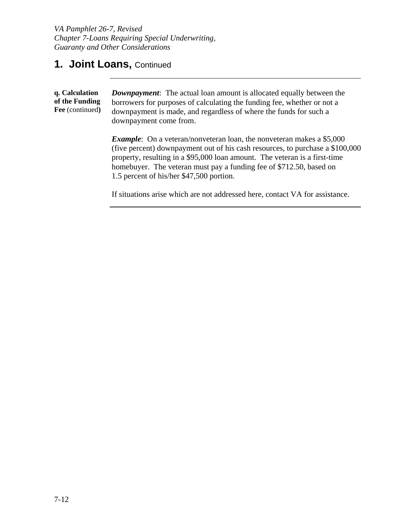**q. Calculation of the Funding Fee** (continued**)** *Downpayment*: The actual loan amount is allocated equally between the borrowers for purposes of calculating the funding fee, whether or not a downpayment is made, and regardless of where the funds for such a downpayment come from. *Example*: On a veteran/nonveteran loan, the nonveteran makes a \$5,000

(five percent) downpayment out of his cash resources, to purchase a \$100,000 property, resulting in a \$95,000 loan amount. The veteran is a first-time homebuyer. The veteran must pay a funding fee of \$712.50, based on 1.5 percent of his/her \$47,500 portion.

If situations arise which are not addressed here, contact VA for assistance.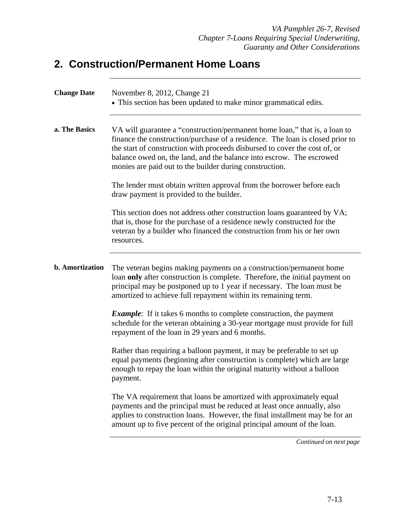## **2. Construction/Permanent Home Loans**

| <b>Change Date</b>     | November 8, 2012, Change 21<br>• This section has been updated to make minor grammatical edits.                                                                                                                                                                                                                                                                              |
|------------------------|------------------------------------------------------------------------------------------------------------------------------------------------------------------------------------------------------------------------------------------------------------------------------------------------------------------------------------------------------------------------------|
| a. The Basics          | VA will guarantee a "construction/permanent home loan," that is, a loan to<br>finance the construction/purchase of a residence. The loan is closed prior to<br>the start of construction with proceeds disbursed to cover the cost of, or<br>balance owed on, the land, and the balance into escrow. The escrowed<br>monies are paid out to the builder during construction. |
|                        | The lender must obtain written approval from the borrower before each<br>draw payment is provided to the builder.                                                                                                                                                                                                                                                            |
|                        | This section does not address other construction loans guaranteed by VA;<br>that is, those for the purchase of a residence newly constructed for the<br>veteran by a builder who financed the construction from his or her own<br>resources.                                                                                                                                 |
| <b>b.</b> Amortization | The veteran begins making payments on a construction/permanent home<br>loan only after construction is complete. Therefore, the initial payment on<br>principal may be postponed up to 1 year if necessary. The loan must be<br>amortized to achieve full repayment within its remaining term.                                                                               |
|                        | <b>Example:</b> If it takes 6 months to complete construction, the payment<br>schedule for the veteran obtaining a 30-year mortgage must provide for full<br>repayment of the loan in 29 years and 6 months.                                                                                                                                                                 |
|                        | Rather than requiring a balloon payment, it may be preferable to set up<br>equal payments (beginning after construction is complete) which are large<br>enough to repay the loan within the original maturity without a balloon<br>payment.                                                                                                                                  |
|                        | The VA requirement that loans be amortized with approximately equal<br>payments and the principal must be reduced at least once annually, also<br>applies to construction loans. However, the final installment may be for an<br>amount up to five percent of the original principal amount of the loan.                                                                     |
|                        | Continued on next page                                                                                                                                                                                                                                                                                                                                                       |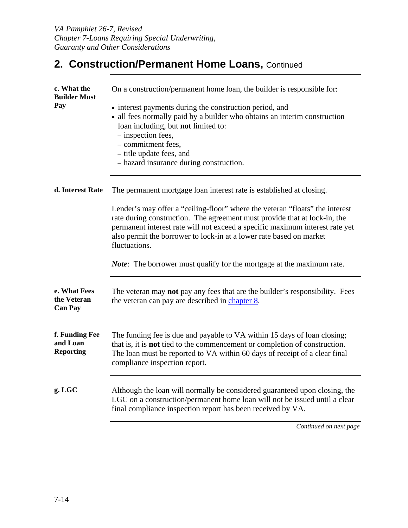### 2. Construction/Permanent Home Loans, Continued

| c. What the<br><b>Builder Must</b>             | On a construction/permanent home loan, the builder is responsible for:                                                                                                                                                                                                                                                            |
|------------------------------------------------|-----------------------------------------------------------------------------------------------------------------------------------------------------------------------------------------------------------------------------------------------------------------------------------------------------------------------------------|
| Pay                                            | • interest payments during the construction period, and<br>• all fees normally paid by a builder who obtains an interim construction<br>loan including, but not limited to:<br>- inspection fees,<br>- commitment fees,<br>- title update fees, and<br>- hazard insurance during construction.                                    |
| d. Interest Rate                               | The permanent mortgage loan interest rate is established at closing.                                                                                                                                                                                                                                                              |
|                                                | Lender's may offer a "ceiling-floor" where the veteran "floats" the interest<br>rate during construction. The agreement must provide that at lock-in, the<br>permanent interest rate will not exceed a specific maximum interest rate yet<br>also permit the borrower to lock-in at a lower rate based on market<br>fluctuations. |
|                                                | <i>Note</i> : The borrower must qualify for the mortgage at the maximum rate.                                                                                                                                                                                                                                                     |
| e. What Fees<br>the Veteran<br><b>Can Pay</b>  | The veteran may not pay any fees that are the builder's responsibility. Fees<br>the veteran can pay are described in chapter 8.                                                                                                                                                                                                   |
| f. Funding Fee<br>and Loan<br><b>Reporting</b> | The funding fee is due and payable to VA within 15 days of loan closing;<br>that is, it is not tied to the commencement or completion of construction.<br>The loan must be reported to VA within 60 days of receipt of a clear final<br>compliance inspection report.                                                             |
| $g.$ LGC                                       | Although the loan will normally be considered guaranteed upon closing, the<br>LGC on a construction/permanent home loan will not be issued until a clear<br>final compliance inspection report has been received by VA.                                                                                                           |
|                                                | Continued on next page                                                                                                                                                                                                                                                                                                            |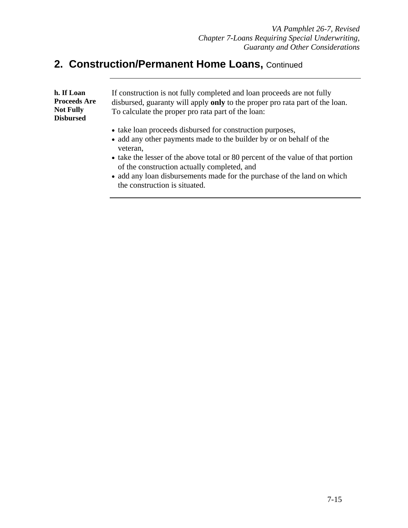#### 2. Construction/Permanent Home Loans, Continued

| h. If Loan<br><b>Proceeds Are</b><br><b>Not Fully</b><br><b>Disbursed</b> | If construction is not fully completed and loan proceeds are not fully<br>disbursed, guaranty will apply only to the proper pro rata part of the loan.<br>To calculate the proper pro rata part of the loan:                            |
|---------------------------------------------------------------------------|-----------------------------------------------------------------------------------------------------------------------------------------------------------------------------------------------------------------------------------------|
|                                                                           | • take loan proceeds disbursed for construction purposes,<br>• add any other payments made to the builder by or on behalf of the<br>veteran,<br>$\bullet$ take the lesser of the above total or 80 percent of the value of that portion |

- take the lesser of the above total or 80 percent of the value of that portion of the construction actually completed, and
- add any loan disbursements made for the purchase of the land on which the construction is situated.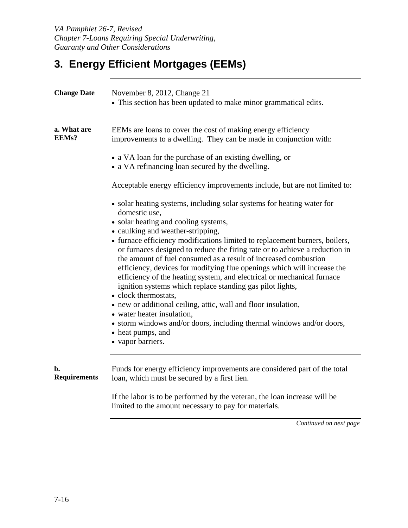# **3. Energy Efficient Mortgages (EEMs)**

| <b>Change Date</b>        | November 8, 2012, Change 21<br>• This section has been updated to make minor grammatical edits.                                                                                                                                                                                                                                                                                                                                                                                                              |
|---------------------------|--------------------------------------------------------------------------------------------------------------------------------------------------------------------------------------------------------------------------------------------------------------------------------------------------------------------------------------------------------------------------------------------------------------------------------------------------------------------------------------------------------------|
| a. What are<br>EEMs?      | EEMs are loans to cover the cost of making energy efficiency<br>improvements to a dwelling. They can be made in conjunction with:                                                                                                                                                                                                                                                                                                                                                                            |
|                           | • a VA loan for the purchase of an existing dwelling, or<br>• a VA refinancing loan secured by the dwelling.                                                                                                                                                                                                                                                                                                                                                                                                 |
|                           | Acceptable energy efficiency improvements include, but are not limited to:                                                                                                                                                                                                                                                                                                                                                                                                                                   |
|                           | • solar heating systems, including solar systems for heating water for<br>domestic use,<br>· solar heating and cooling systems,                                                                                                                                                                                                                                                                                                                                                                              |
|                           | • caulking and weather-stripping,<br>• furnace efficiency modifications limited to replacement burners, boilers,<br>or furnaces designed to reduce the firing rate or to achieve a reduction in<br>the amount of fuel consumed as a result of increased combustion<br>efficiency, devices for modifying flue openings which will increase the<br>efficiency of the heating system, and electrical or mechanical furnace<br>ignition systems which replace standing gas pilot lights,<br>• clock thermostats, |
|                           | • new or additional ceiling, attic, wall and floor insulation,<br>• water heater insulation,                                                                                                                                                                                                                                                                                                                                                                                                                 |
|                           | • storm windows and/or doors, including thermal windows and/or doors,<br>• heat pumps, and<br>• vapor barriers.                                                                                                                                                                                                                                                                                                                                                                                              |
| b.<br><b>Requirements</b> | Funds for energy efficiency improvements are considered part of the total<br>loan, which must be secured by a first lien.                                                                                                                                                                                                                                                                                                                                                                                    |
|                           | If the labor is to be performed by the veteran, the loan increase will be<br>limited to the amount necessary to pay for materials.                                                                                                                                                                                                                                                                                                                                                                           |
|                           | Continued on next page                                                                                                                                                                                                                                                                                                                                                                                                                                                                                       |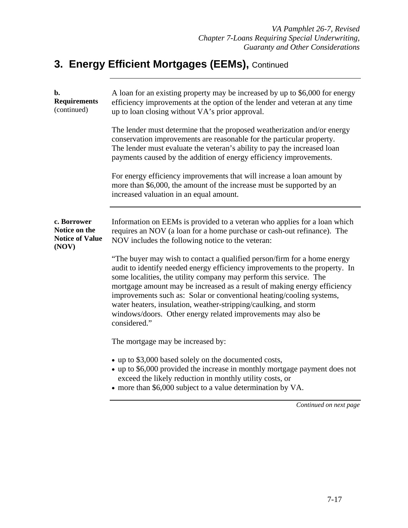| $\mathbf{b}$ .<br><b>Requirements</b><br>(continued)            | A loan for an existing property may be increased by up to \$6,000 for energy<br>efficiency improvements at the option of the lender and veteran at any time<br>up to loan closing without VA's prior approval.                                                                                                                                                                                                                                                                                                                        |
|-----------------------------------------------------------------|---------------------------------------------------------------------------------------------------------------------------------------------------------------------------------------------------------------------------------------------------------------------------------------------------------------------------------------------------------------------------------------------------------------------------------------------------------------------------------------------------------------------------------------|
|                                                                 | The lender must determine that the proposed weatherization and/or energy<br>conservation improvements are reasonable for the particular property.<br>The lender must evaluate the veteran's ability to pay the increased loan<br>payments caused by the addition of energy efficiency improvements.                                                                                                                                                                                                                                   |
|                                                                 | For energy efficiency improvements that will increase a loan amount by<br>more than \$6,000, the amount of the increase must be supported by an<br>increased valuation in an equal amount.                                                                                                                                                                                                                                                                                                                                            |
| c. Borrower<br>Notice on the<br><b>Notice of Value</b><br>(NOV) | Information on EEMs is provided to a veteran who applies for a loan which<br>requires an NOV (a loan for a home purchase or cash-out refinance). The<br>NOV includes the following notice to the veteran:                                                                                                                                                                                                                                                                                                                             |
|                                                                 | "The buyer may wish to contact a qualified person/firm for a home energy<br>audit to identify needed energy efficiency improvements to the property. In<br>some localities, the utility company may perform this service. The<br>mortgage amount may be increased as a result of making energy efficiency<br>improvements such as: Solar or conventional heating/cooling systems,<br>water heaters, insulation, weather-stripping/caulking, and storm<br>windows/doors. Other energy related improvements may also be<br>considered." |
|                                                                 | The mortgage may be increased by:                                                                                                                                                                                                                                                                                                                                                                                                                                                                                                     |
|                                                                 | • up to \$3,000 based solely on the documented costs,<br>• up to \$6,000 provided the increase in monthly mortgage payment does not<br>exceed the likely reduction in monthly utility costs, or<br>• more than \$6,000 subject to a value determination by VA.                                                                                                                                                                                                                                                                        |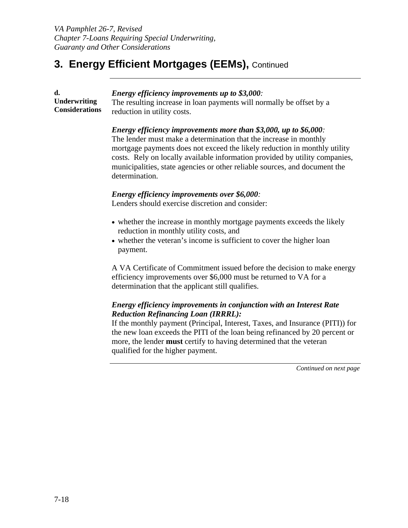**d. Underwriting Considerations**  *Energy efficiency improvements up to \$3,000:*  The resulting increase in loan payments will normally be offset by a reduction in utility costs.

#### *Energy efficiency improvements more than \$3,000, up to \$6,000:*

The lender must make a determination that the increase in monthly mortgage payments does not exceed the likely reduction in monthly utility costs. Rely on locally available information provided by utility companies, municipalities, state agencies or other reliable sources, and document the determination.

#### *Energy efficiency improvements over \$6,000:*

Lenders should exercise discretion and consider:

- whether the increase in monthly mortgage payments exceeds the likely reduction in monthly utility costs, and
- whether the veteran's income is sufficient to cover the higher loan payment.

A VA Certificate of Commitment issued before the decision to make energy efficiency improvements over \$6,000 must be returned to VA for a determination that the applicant still qualifies.

#### *Energy efficiency improvements in conjunction with an Interest Rate Reduction Refinancing Loan (IRRRL):*

If the monthly payment (Principal, Interest, Taxes, and Insurance (PITI)) for the new loan exceeds the PITI of the loan being refinanced by 20 percent or more, the lender **must** certify to having determined that the veteran qualified for the higher payment.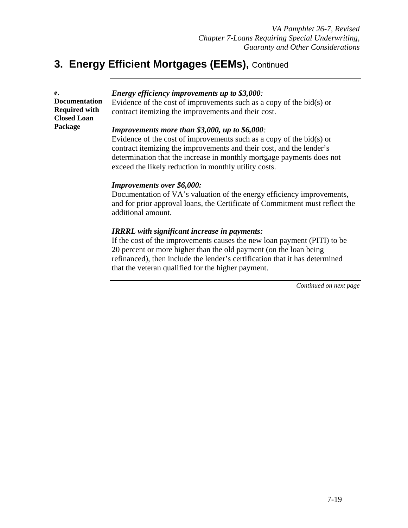| e.<br><b>Documentation</b><br><b>Required with</b> | <i>Energy efficiency improvements up to \$3,000:</i><br>Evidence of the cost of improvements such as a copy of the bid $(s)$ or<br>contract itemizing the improvements and their cost.                                   |
|----------------------------------------------------|--------------------------------------------------------------------------------------------------------------------------------------------------------------------------------------------------------------------------|
| <b>Closed Loan</b><br>Package                      | <b>Improvements more than \$3,000, up to \$6,000</b> :                                                                                                                                                                   |
|                                                    | Evidence of the cost of improvements such as a copy of the bid $(s)$ or<br>contract itemizing the improvements and their cost, and the lender's<br>determination that the increase in monthly mortgage payments does not |

#### exceed the likely reduction in monthly utility costs.

#### *Improvements over \$6,000:*

Documentation of VA's valuation of the energy efficiency improvements, and for prior approval loans, the Certificate of Commitment must reflect the additional amount.

#### *IRRRL with significant increase in payments:*

If the cost of the improvements causes the new loan payment (PITI) to be 20 percent or more higher than the old payment (on the loan being refinanced), then include the lender's certification that it has determined that the veteran qualified for the higher payment.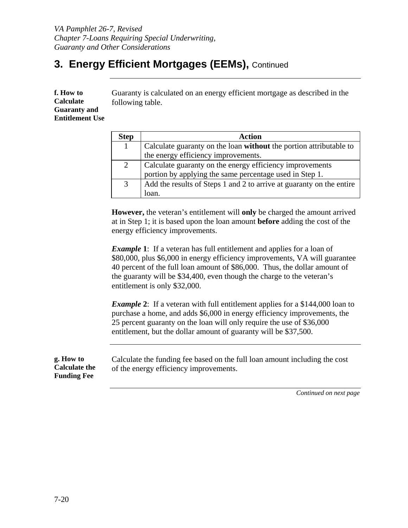**f. How to Calculate Guaranty and Entitlement Use**  Guaranty is calculated on an energy efficient mortgage as described in the following table.

| <b>Step</b> | <b>Action</b>                                                        |
|-------------|----------------------------------------------------------------------|
| 1           | Calculate guaranty on the loan without the portion attributable to   |
|             | the energy efficiency improvements.                                  |
| 2           | Calculate guaranty on the energy efficiency improvements             |
|             | portion by applying the same percentage used in Step 1.              |
| 3           | Add the results of Steps 1 and 2 to arrive at guaranty on the entire |
|             | loan.                                                                |

**However,** the veteran's entitlement will **only** be charged the amount arrived at in Step 1; it is based upon the loan amount **before** adding the cost of the energy efficiency improvements.

*Example* **1**: If a veteran has full entitlement and applies for a loan of \$80,000, plus \$6,000 in energy efficiency improvements, VA will guarantee 40 percent of the full loan amount of \$86,000. Thus, the dollar amount of the guaranty will be \$34,400, even though the charge to the veteran's entitlement is only \$32,000.

*Example* 2: If a veteran with full entitlement applies for a \$144,000 loan to purchase a home, and adds \$6,000 in energy efficiency improvements, the 25 percent guaranty on the loan will only require the use of \$36,000 entitlement, but the dollar amount of guaranty will be \$37,500.

| g. How to<br><b>Calculate the</b><br><b>Funding Fee</b> | Calculate the funding fee based on the full loan amount including the cost<br>of the energy efficiency improvements. |
|---------------------------------------------------------|----------------------------------------------------------------------------------------------------------------------|
|---------------------------------------------------------|----------------------------------------------------------------------------------------------------------------------|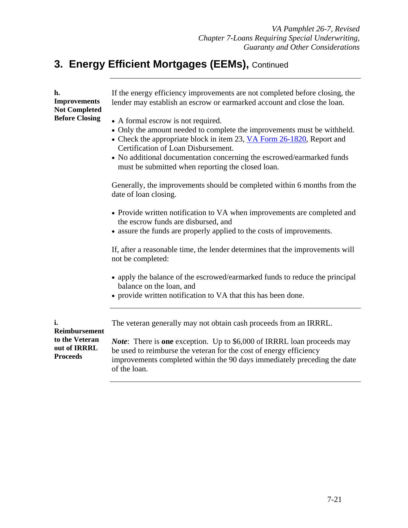| h.<br><b>Improvements</b><br><b>Not Completed</b>                               | If the energy efficiency improvements are not completed before closing, the<br>lender may establish an escrow or earmarked account and close the loan.                                                                                                                                                                                                      |
|---------------------------------------------------------------------------------|-------------------------------------------------------------------------------------------------------------------------------------------------------------------------------------------------------------------------------------------------------------------------------------------------------------------------------------------------------------|
| <b>Before Closing</b>                                                           | • A formal escrow is not required.<br>• Only the amount needed to complete the improvements must be withheld.<br>• Check the appropriate block in item 23, VA Form 26-1820, Report and<br>Certification of Loan Disbursement.<br>• No additional documentation concerning the escrowed/earmarked funds<br>must be submitted when reporting the closed loan. |
|                                                                                 | Generally, the improvements should be completed within 6 months from the<br>date of loan closing.                                                                                                                                                                                                                                                           |
|                                                                                 | • Provide written notification to VA when improvements are completed and<br>the escrow funds are disbursed, and<br>• assure the funds are properly applied to the costs of improvements.                                                                                                                                                                    |
|                                                                                 | If, after a reasonable time, the lender determines that the improvements will<br>not be completed:                                                                                                                                                                                                                                                          |
|                                                                                 | • apply the balance of the escrowed/earmarked funds to reduce the principal<br>balance on the loan, and<br>• provide written notification to VA that this has been done.                                                                                                                                                                                    |
| i.<br><b>Reimbursement</b><br>to the Veteran<br>out of IRRRL<br><b>Proceeds</b> | The veteran generally may not obtain cash proceeds from an IRRRL.                                                                                                                                                                                                                                                                                           |
|                                                                                 | <i>Note</i> : There is one exception. Up to \$6,000 of IRRRL loan proceeds may<br>be used to reimburse the veteran for the cost of energy efficiency<br>improvements completed within the 90 days immediately preceding the date<br>of the loan.                                                                                                            |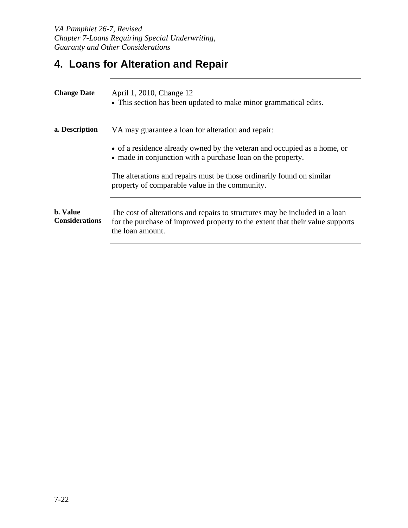### **4. Loans for Alteration and Repair**

| April 1, 2010, Change 12<br>• This section has been updated to make minor grammatical edits.                                                                                     |
|----------------------------------------------------------------------------------------------------------------------------------------------------------------------------------|
| VA may guarantee a loan for alteration and repair:                                                                                                                               |
| • of a residence already owned by the veteran and occupied as a home, or<br>• made in conjunction with a purchase loan on the property.                                          |
| The alterations and repairs must be those ordinarily found on similar<br>property of comparable value in the community.                                                          |
| The cost of alterations and repairs to structures may be included in a loan<br>for the purchase of improved property to the extent that their value supports<br>the loan amount. |
|                                                                                                                                                                                  |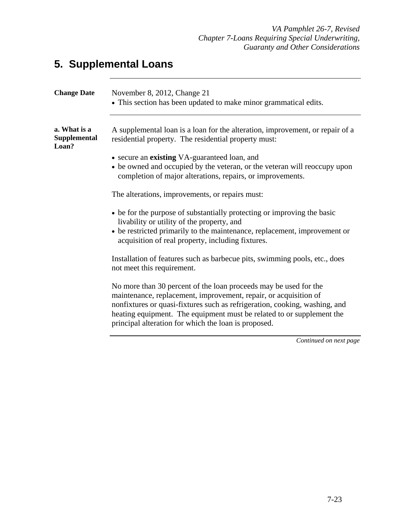# **5. Supplemental Loans**

| <b>Change Date</b>                           | November 8, 2012, Change 21<br>• This section has been updated to make minor grammatical edits.                                                                                                                                                                                                                                                     |
|----------------------------------------------|-----------------------------------------------------------------------------------------------------------------------------------------------------------------------------------------------------------------------------------------------------------------------------------------------------------------------------------------------------|
| a. What is a<br><b>Supplemental</b><br>Loan? | A supplemental loan is a loan for the alteration, improvement, or repair of a<br>residential property. The residential property must:                                                                                                                                                                                                               |
|                                              | • secure an existing VA-guaranteed loan, and<br>• be owned and occupied by the veteran, or the veteran will reoccupy upon<br>completion of major alterations, repairs, or improvements.                                                                                                                                                             |
|                                              | The alterations, improvements, or repairs must:                                                                                                                                                                                                                                                                                                     |
|                                              | • be for the purpose of substantially protecting or improving the basic<br>livability or utility of the property, and<br>• be restricted primarily to the maintenance, replacement, improvement or<br>acquisition of real property, including fixtures.                                                                                             |
|                                              | Installation of features such as barbecue pits, swimming pools, etc., does<br>not meet this requirement.                                                                                                                                                                                                                                            |
|                                              | No more than 30 percent of the loan proceeds may be used for the<br>maintenance, replacement, improvement, repair, or acquisition of<br>nonfixtures or quasi-fixtures such as refrigeration, cooking, washing, and<br>heating equipment. The equipment must be related to or supplement the<br>principal alteration for which the loan is proposed. |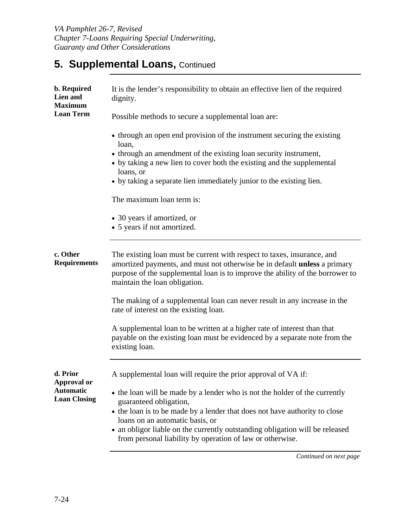*VA Pamphlet 26-7, Revised Chapter 7-Loans Requiring Special Underwriting, Guaranty and Other Considerations* 

### **5. Supplemental Loans, Continued**

| b. Required<br>Lien and<br><b>Maximum</b> | It is the lender's responsibility to obtain an effective lien of the required<br>dignity.                                                                                                                                                                                     |
|-------------------------------------------|-------------------------------------------------------------------------------------------------------------------------------------------------------------------------------------------------------------------------------------------------------------------------------|
| <b>Loan Term</b>                          | Possible methods to secure a supplemental loan are:                                                                                                                                                                                                                           |
|                                           | • through an open end provision of the instrument securing the existing<br>loan,                                                                                                                                                                                              |
|                                           | • through an amendment of the existing loan security instrument,<br>• by taking a new lien to cover both the existing and the supplemental<br>loans, or                                                                                                                       |
|                                           | • by taking a separate lien immediately junior to the existing lien.                                                                                                                                                                                                          |
|                                           | The maximum loan term is:                                                                                                                                                                                                                                                     |
|                                           | • 30 years if amortized, or<br>• 5 years if not amortized.                                                                                                                                                                                                                    |
| c. Other<br><b>Requirements</b>           | The existing loan must be current with respect to taxes, insurance, and<br>amortized payments, and must not otherwise be in default <b>unless</b> a primary<br>purpose of the supplemental loan is to improve the ability of the borrower to<br>maintain the loan obligation. |
|                                           | The making of a supplemental loan can never result in any increase in the<br>rate of interest on the existing loan.                                                                                                                                                           |
|                                           | A supplemental loan to be written at a higher rate of interest than that<br>payable on the existing loan must be evidenced by a separate note from the<br>existing loan.                                                                                                      |
| d. Prior<br>Approval or                   | A supplemental loan will require the prior approval of VA if:                                                                                                                                                                                                                 |
| <b>Automatic</b><br><b>Loan Closing</b>   | • the loan will be made by a lender who is not the holder of the currently<br>guaranteed obligation,<br>• the loan is to be made by a lender that does not have authority to close                                                                                            |
|                                           | loans on an automatic basis, or<br>• an obligor liable on the currently outstanding obligation will be released<br>from personal liability by operation of law or otherwise.                                                                                                  |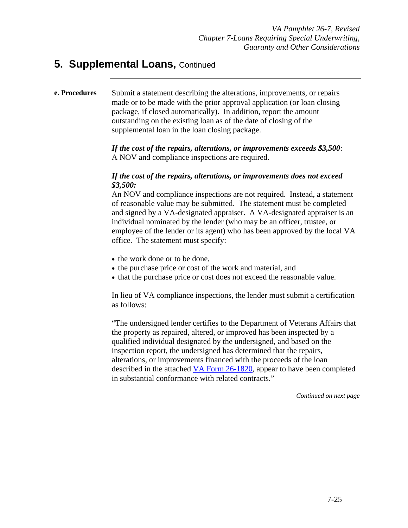#### **5. Supplemental Loans, Continued**

#### **e. Procedures** Submit a statement describing the alterations, improvements, or repairs made or to be made with the prior approval application (or loan closing package, if closed automatically). In addition, report the amount outstanding on the existing loan as of the date of closing of the supplemental loan in the loan closing package.

*If the cost of the repairs, alterations, or improvements exceeds \$3,500*: A NOV and compliance inspections are required.

#### *If the cost of the repairs, alterations, or improvements does not exceed \$3,500:*

An NOV and compliance inspections are not required. Instead, a statement of reasonable value may be submitted. The statement must be completed and signed by a VA-designated appraiser. A VA-designated appraiser is an individual nominated by the lender (who may be an officer, trustee, or employee of the lender or its agent) who has been approved by the local VA office. The statement must specify:

- the work done or to be done,
- the purchase price or cost of the work and material, and
- that the purchase price or cost does not exceed the reasonable value.

In lieu of VA compliance inspections, the lender must submit a certification as follows:

"The undersigned lender certifies to the Department of Veterans Affairs that the property as repaired, altered, or improved has been inspected by a qualified individual designated by the undersigned, and based on the inspection report, the undersigned has determined that the repairs, alterations, or improvements financed with the proceeds of the loan described in the attached VA Form 26-1820, appear to have been completed in substantial conformance with related contracts."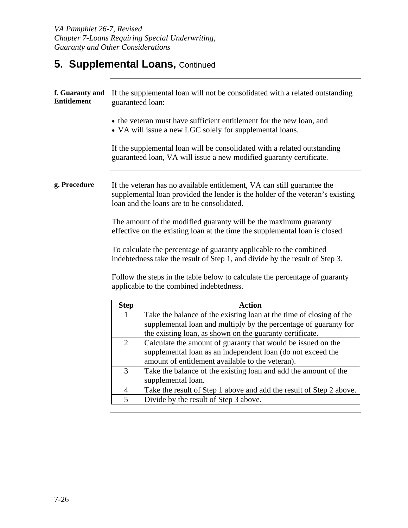### **5. Supplemental Loans, Continued**

| f. Guaranty and<br><b>Entitlement</b> | guaranteed loan: | If the supplemental loan will not be consolidated with a related outstanding                                                                                                                           |
|---------------------------------------|------------------|--------------------------------------------------------------------------------------------------------------------------------------------------------------------------------------------------------|
|                                       |                  | • the veteran must have sufficient entitlement for the new loan, and<br>• VA will issue a new LGC solely for supplemental loans.                                                                       |
|                                       |                  | If the supplemental loan will be consolidated with a related outstanding<br>guaranteed loan, VA will issue a new modified guaranty certificate.                                                        |
| g. Procedure                          |                  | If the veteran has no available entitlement, VA can still guarantee the<br>supplemental loan provided the lender is the holder of the veteran's existing<br>loan and the loans are to be consolidated. |
|                                       |                  | The amount of the modified guaranty will be the maximum guaranty<br>effective on the existing loan at the time the supplemental loan is closed.                                                        |
|                                       |                  | To calculate the percentage of guaranty applicable to the combined<br>indebtedness take the result of Step 1, and divide by the result of Step 3.                                                      |
|                                       |                  | Follow the steps in the table below to calculate the percentage of guaranty<br>applicable to the combined indebtedness.                                                                                |
|                                       | <b>Step</b>      | <b>Action</b>                                                                                                                                                                                          |
|                                       | 1                | Take the balance of the existing loan at the time of closing of the                                                                                                                                    |
|                                       |                  | supplemental loan and multiply by the percentage of guaranty for<br>the existing loan, as shown on the guaranty certificate.                                                                           |
|                                       | $\overline{2}$   | Calculate the amount of guaranty that would be issued on the                                                                                                                                           |
|                                       |                  | supplemental loan as an independent loan (do not exceed the                                                                                                                                            |
|                                       |                  | amount of entitlement available to the veteran).                                                                                                                                                       |
|                                       | 3                | Take the balance of the existing loan and add the amount of the                                                                                                                                        |
|                                       |                  | supplemental loan.                                                                                                                                                                                     |
|                                       | 4                | Take the result of Step 1 above and add the result of Step 2 above.                                                                                                                                    |
|                                       | 5                | Divide by the result of Step 3 above.                                                                                                                                                                  |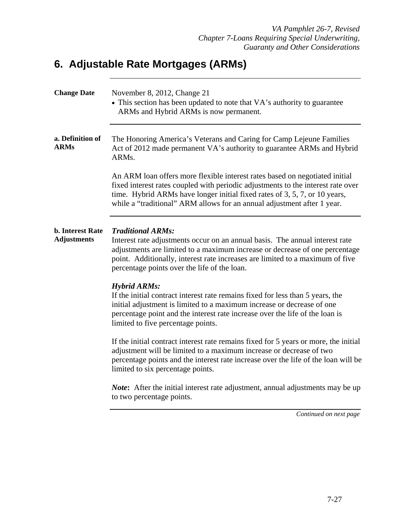### **6. Adjustable Rate Mortgages (ARMs)**

| <b>Change Date</b>                            | November 8, 2012, Change 21<br>• This section has been updated to note that VA's authority to guarantee<br>ARMs and Hybrid ARMs is now permanent.                                                                                                                                                                        |
|-----------------------------------------------|--------------------------------------------------------------------------------------------------------------------------------------------------------------------------------------------------------------------------------------------------------------------------------------------------------------------------|
| a. Definition of<br><b>ARMs</b>               | The Honoring America's Veterans and Caring for Camp Lejeune Families<br>Act of 2012 made permanent VA's authority to guarantee ARMs and Hybrid<br>ARM <sub>s</sub> .                                                                                                                                                     |
|                                               | An ARM loan offers more flexible interest rates based on negotiated initial<br>fixed interest rates coupled with periodic adjustments to the interest rate over<br>time. Hybrid ARMs have longer initial fixed rates of 3, 5, 7, or 10 years,<br>while a "traditional" ARM allows for an annual adjustment after 1 year. |
| <b>b.</b> Interest Rate<br><b>Adjustments</b> | <b>Traditional ARMs:</b><br>Interest rate adjustments occur on an annual basis. The annual interest rate<br>adjustments are limited to a maximum increase or decrease of one percentage<br>point. Additionally, interest rate increases are limited to a maximum of five<br>percentage points over the life of the loan. |
|                                               | <b>Hybrid ARMs:</b><br>If the initial contract interest rate remains fixed for less than 5 years, the<br>initial adjustment is limited to a maximum increase or decrease of one<br>percentage point and the interest rate increase over the life of the loan is<br>limited to five percentage points.                    |
|                                               | If the initial contract interest rate remains fixed for 5 years or more, the initial<br>adjustment will be limited to a maximum increase or decrease of two<br>percentage points and the interest rate increase over the life of the loan will be<br>limited to six percentage points.                                   |
|                                               | <i>Note</i> : After the initial interest rate adjustment, annual adjustments may be up<br>to two percentage points.                                                                                                                                                                                                      |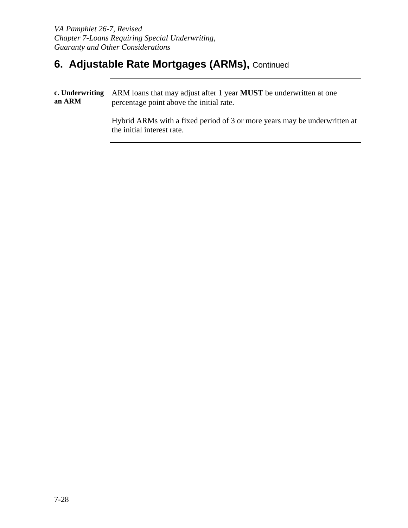# **6. Adjustable Rate Mortgages (ARMs), Continued**

| an ARM | c. Underwriting ARM loans that may adjust after 1 year MUST be underwritten at one<br>percentage point above the initial rate. |
|--------|--------------------------------------------------------------------------------------------------------------------------------|
|        | Hybrid ARMs with a fixed period of 3 or more years may be underwritten at<br>the initial interest rate.                        |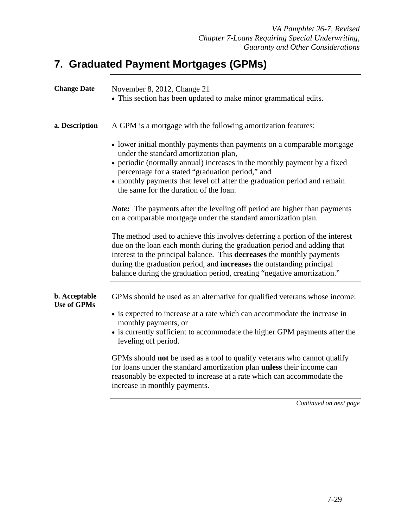### **7. Graduated Payment Mortgages (GPMs)**

| <b>Change Date</b>                  | November 8, 2012, Change 21<br>• This section has been updated to make minor grammatical edits.                                                                                                                                                                                                                                                                                              |
|-------------------------------------|----------------------------------------------------------------------------------------------------------------------------------------------------------------------------------------------------------------------------------------------------------------------------------------------------------------------------------------------------------------------------------------------|
| a. Description                      | A GPM is a mortgage with the following amortization features:                                                                                                                                                                                                                                                                                                                                |
|                                     | • lower initial monthly payments than payments on a comparable mortgage<br>under the standard amortization plan,                                                                                                                                                                                                                                                                             |
|                                     | • periodic (normally annual) increases in the monthly payment by a fixed<br>percentage for a stated "graduation period," and                                                                                                                                                                                                                                                                 |
|                                     | • monthly payments that level off after the graduation period and remain<br>the same for the duration of the loan.                                                                                                                                                                                                                                                                           |
|                                     | <i>Note:</i> The payments after the leveling off period are higher than payments<br>on a comparable mortgage under the standard amortization plan.                                                                                                                                                                                                                                           |
|                                     | The method used to achieve this involves deferring a portion of the interest<br>due on the loan each month during the graduation period and adding that<br>interest to the principal balance. This decreases the monthly payments<br>during the graduation period, and <b>increases</b> the outstanding principal<br>balance during the graduation period, creating "negative amortization." |
| b. Acceptable<br><b>Use of GPMs</b> | GPMs should be used as an alternative for qualified veterans whose income:                                                                                                                                                                                                                                                                                                                   |
|                                     | • is expected to increase at a rate which can accommodate the increase in<br>monthly payments, or<br>• is currently sufficient to accommodate the higher GPM payments after the<br>leveling off period.                                                                                                                                                                                      |
|                                     | GPMs should not be used as a tool to qualify veterans who cannot qualify<br>for loans under the standard amortization plan unless their income can<br>reasonably be expected to increase at a rate which can accommodate the<br>increase in monthly payments.                                                                                                                                |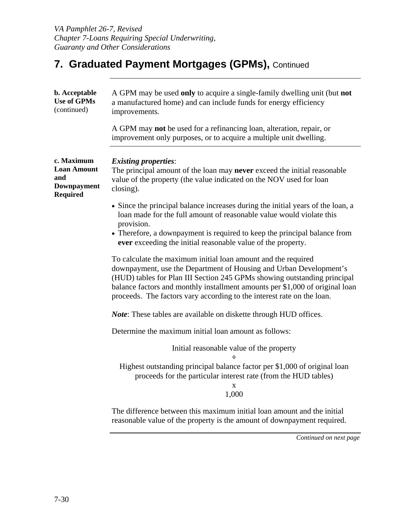| b. Acceptable<br><b>Use of GPMs</b><br>(continued)                               | A GPM may be used only to acquire a single-family dwelling unit (but not<br>a manufactured home) and can include funds for energy efficiency<br>improvements.                                                                                                                                                                                                             |
|----------------------------------------------------------------------------------|---------------------------------------------------------------------------------------------------------------------------------------------------------------------------------------------------------------------------------------------------------------------------------------------------------------------------------------------------------------------------|
|                                                                                  | A GPM may not be used for a refinancing loan, alteration, repair, or<br>improvement only purposes, or to acquire a multiple unit dwelling.                                                                                                                                                                                                                                |
| c. Maximum<br><b>Loan Amount</b><br>and<br><b>Downpayment</b><br><b>Required</b> | <b>Existing properties:</b><br>The principal amount of the loan may <b>never</b> exceed the initial reasonable<br>value of the property (the value indicated on the NOV used for loan<br>closing).                                                                                                                                                                        |
|                                                                                  | • Since the principal balance increases during the initial years of the loan, a<br>loan made for the full amount of reasonable value would violate this<br>provision.                                                                                                                                                                                                     |
|                                                                                  | • Therefore, a downpayment is required to keep the principal balance from<br>ever exceeding the initial reasonable value of the property.                                                                                                                                                                                                                                 |
|                                                                                  | To calculate the maximum initial loan amount and the required<br>downpayment, use the Department of Housing and Urban Development's<br>(HUD) tables for Plan III Section 245 GPMs showing outstanding principal<br>balance factors and monthly installment amounts per \$1,000 of original loan<br>proceeds. The factors vary according to the interest rate on the loan. |
|                                                                                  | <i>Note:</i> These tables are available on diskette through HUD offices.                                                                                                                                                                                                                                                                                                  |
|                                                                                  | Determine the maximum initial loan amount as follows:                                                                                                                                                                                                                                                                                                                     |
|                                                                                  | Initial reasonable value of the property                                                                                                                                                                                                                                                                                                                                  |
|                                                                                  | Highest outstanding principal balance factor per \$1,000 of original loan<br>proceeds for the particular interest rate (from the HUD tables)<br>X<br>1,000                                                                                                                                                                                                                |
|                                                                                  | The difference between this maximum initial loan amount and the initial<br>reasonable value of the property is the amount of downpayment required.                                                                                                                                                                                                                        |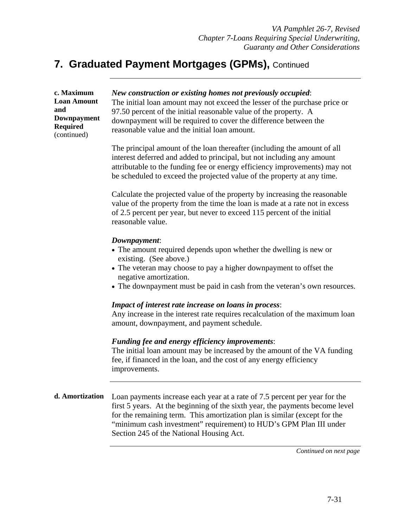| c. Maximum<br><b>Loan Amount</b><br>and<br><b>Downpayment</b><br><b>Required</b><br>(continued) | New construction or existing homes not previously occupied:<br>The initial loan amount may not exceed the lesser of the purchase price or<br>97.50 percent of the initial reasonable value of the property. A<br>downpayment will be required to cover the difference between the<br>reasonable value and the initial loan amount.                        |
|-------------------------------------------------------------------------------------------------|-----------------------------------------------------------------------------------------------------------------------------------------------------------------------------------------------------------------------------------------------------------------------------------------------------------------------------------------------------------|
|                                                                                                 | The principal amount of the loan thereafter (including the amount of all<br>interest deferred and added to principal, but not including any amount<br>attributable to the funding fee or energy efficiency improvements) may not<br>be scheduled to exceed the projected value of the property at any time.                                               |
|                                                                                                 | Calculate the projected value of the property by increasing the reasonable<br>value of the property from the time the loan is made at a rate not in excess<br>of 2.5 percent per year, but never to exceed 115 percent of the initial<br>reasonable value.                                                                                                |
|                                                                                                 | Downpayment:<br>• The amount required depends upon whether the dwelling is new or<br>existing. (See above.)<br>• The veteran may choose to pay a higher downpayment to offset the<br>negative amortization.<br>• The downpayment must be paid in cash from the veteran's own resources.                                                                   |
|                                                                                                 | <b>Impact of interest rate increase on loans in process:</b><br>Any increase in the interest rate requires recalculation of the maximum loan<br>amount, downpayment, and payment schedule.                                                                                                                                                                |
|                                                                                                 | Funding fee and energy efficiency improvements:<br>The initial loan amount may be increased by the amount of the VA funding<br>fee, if financed in the loan, and the cost of any energy efficiency<br>improvements.                                                                                                                                       |
| d. Amortization                                                                                 | Loan payments increase each year at a rate of 7.5 percent per year for the<br>first 5 years. At the beginning of the sixth year, the payments become level<br>for the remaining term. This amortization plan is similar (except for the<br>"minimum cash investment" requirement) to HUD's GPM Plan III under<br>Section 245 of the National Housing Act. |
|                                                                                                 | Continued on next page                                                                                                                                                                                                                                                                                                                                    |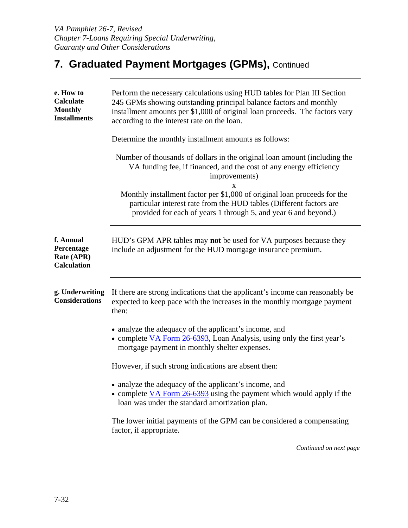| e. How to<br>Calculate<br><b>Monthly</b><br><b>Installments</b> | Perform the necessary calculations using HUD tables for Plan III Section<br>245 GPMs showing outstanding principal balance factors and monthly<br>installment amounts per \$1,000 of original loan proceeds. The factors vary<br>according to the interest rate on the loan. |
|-----------------------------------------------------------------|------------------------------------------------------------------------------------------------------------------------------------------------------------------------------------------------------------------------------------------------------------------------------|
|                                                                 | Determine the monthly installment amounts as follows:                                                                                                                                                                                                                        |
|                                                                 | Number of thousands of dollars in the original loan amount (including the<br>VA funding fee, if financed, and the cost of any energy efficiency<br>improvements)<br>X                                                                                                        |
|                                                                 | Monthly installment factor per \$1,000 of original loan proceeds for the<br>particular interest rate from the HUD tables (Different factors are<br>provided for each of years 1 through 5, and year 6 and beyond.)                                                           |
| f. Annual<br>Percentage<br>Rate (APR)<br><b>Calculation</b>     | HUD's GPM APR tables may not be used for VA purposes because they<br>include an adjustment for the HUD mortgage insurance premium.                                                                                                                                           |
| g. Underwriting<br><b>Considerations</b>                        | If there are strong indications that the applicant's income can reasonably be<br>expected to keep pace with the increases in the monthly mortgage payment<br>then:                                                                                                           |
|                                                                 | • analyze the adequacy of the applicant's income, and<br>• complete VA Form 26-6393, Loan Analysis, using only the first year's<br>mortgage payment in monthly shelter expenses.                                                                                             |
|                                                                 | However, if such strong indications are absent then:                                                                                                                                                                                                                         |
|                                                                 | analyze the adequacy of the applicant's income, and<br>• complete VA Form 26-6393 using the payment which would apply if the<br>loan was under the standard amortization plan.                                                                                               |
|                                                                 | The lower initial payments of the GPM can be considered a compensating<br>factor, if appropriate.                                                                                                                                                                            |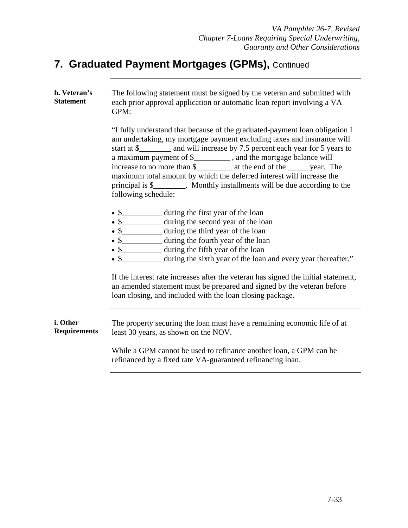| h. Veteran's<br><b>Statement</b> | The following statement must be signed by the veteran and submitted with<br>each prior approval application or automatic loan report involving a VA<br>GPM:                                                                                                                                                                                                                                                                                                                                  |
|----------------------------------|----------------------------------------------------------------------------------------------------------------------------------------------------------------------------------------------------------------------------------------------------------------------------------------------------------------------------------------------------------------------------------------------------------------------------------------------------------------------------------------------|
|                                  | "I fully understand that because of the graduated-payment loan obligation I<br>am undertaking, my mortgage payment excluding taxes and insurance will<br>start at \$__________ and will increase by 7.5 percent each year for 5 years to<br>a maximum payment of \$___________, and the mortgage balance will<br>maximum total amount by which the deferred interest will increase the<br>principal is \$_________. Monthly installments will be due according to the<br>following schedule: |
|                                  | • \$_____________ during the first year of the loan<br>• \$____________ during the second year of the loan<br>• \$____________ during the third year of the loan<br>• \$____________ during the fourth year of the loan<br>• \$_____________ during the fifth year of the loan<br>• \$____________ during the sixth year of the loan and every year thereafter."                                                                                                                             |
|                                  | If the interest rate increases after the veteran has signed the initial statement,<br>an amended statement must be prepared and signed by the veteran before<br>loan closing, and included with the loan closing package.                                                                                                                                                                                                                                                                    |
| i. Other<br><b>Requirements</b>  | The property securing the loan must have a remaining economic life of at<br>least 30 years, as shown on the NOV.                                                                                                                                                                                                                                                                                                                                                                             |
|                                  | While a GPM cannot be used to refinance another loan, a GPM can be<br>refinanced by a fixed rate VA-guaranteed refinancing loan.                                                                                                                                                                                                                                                                                                                                                             |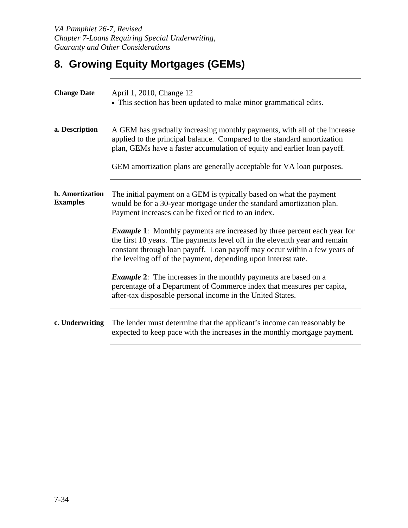# **8. Growing Equity Mortgages (GEMs)**

| <b>Change Date</b>                        | April 1, 2010, Change 12<br>• This section has been updated to make minor grammatical edits.                                                                                                                                                                                                                 |
|-------------------------------------------|--------------------------------------------------------------------------------------------------------------------------------------------------------------------------------------------------------------------------------------------------------------------------------------------------------------|
| a. Description                            | A GEM has gradually increasing monthly payments, with all of the increase<br>applied to the principal balance. Compared to the standard amortization<br>plan, GEMs have a faster accumulation of equity and earlier loan payoff.<br>GEM amortization plans are generally acceptable for VA loan purposes.    |
| <b>b.</b> Amortization<br><b>Examples</b> | The initial payment on a GEM is typically based on what the payment<br>would be for a 30-year mortgage under the standard amortization plan.<br>Payment increases can be fixed or tied to an index.                                                                                                          |
|                                           | <b>Example 1:</b> Monthly payments are increased by three percent each year for<br>the first 10 years. The payments level off in the eleventh year and remain<br>constant through loan payoff. Loan payoff may occur within a few years of<br>the leveling off of the payment, depending upon interest rate. |
|                                           | <b>Example 2:</b> The increases in the monthly payments are based on a<br>percentage of a Department of Commerce index that measures per capita,<br>after-tax disposable personal income in the United States.                                                                                               |
| c. Underwriting                           | The lender must determine that the applicant's income can reasonably be<br>expected to keep pace with the increases in the monthly mortgage payment.                                                                                                                                                         |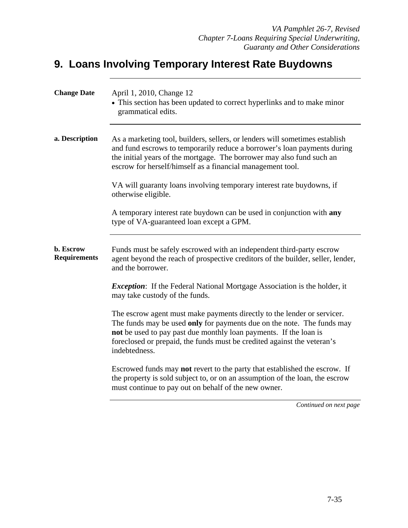### **9. Loans Involving Temporary Interest Rate Buydowns**

| <b>Change Date</b>               | April 1, 2010, Change 12<br>• This section has been updated to correct hyperlinks and to make minor<br>grammatical edits.                                                                                                                                                                                          |
|----------------------------------|--------------------------------------------------------------------------------------------------------------------------------------------------------------------------------------------------------------------------------------------------------------------------------------------------------------------|
| a. Description                   | As a marketing tool, builders, sellers, or lenders will sometimes establish<br>and fund escrows to temporarily reduce a borrower's loan payments during<br>the initial years of the mortgage. The borrower may also fund such an<br>escrow for herself/himself as a financial management tool.                     |
|                                  | VA will guaranty loans involving temporary interest rate buydowns, if<br>otherwise eligible.                                                                                                                                                                                                                       |
|                                  | A temporary interest rate buydown can be used in conjunction with any<br>type of VA-guaranteed loan except a GPM.                                                                                                                                                                                                  |
| b. Escrow<br><b>Requirements</b> | Funds must be safely escrowed with an independent third-party escrow<br>agent beyond the reach of prospective creditors of the builder, seller, lender,<br>and the borrower.                                                                                                                                       |
|                                  | <i>Exception</i> : If the Federal National Mortgage Association is the holder, it<br>may take custody of the funds.                                                                                                                                                                                                |
|                                  | The escrow agent must make payments directly to the lender or servicer.<br>The funds may be used only for payments due on the note. The funds may<br>not be used to pay past due monthly loan payments. If the loan is<br>foreclosed or prepaid, the funds must be credited against the veteran's<br>indebtedness. |
|                                  | Escrowed funds may <b>not</b> revert to the party that established the escrow. If<br>the property is sold subject to, or on an assumption of the loan, the escrow<br>must continue to pay out on behalf of the new owner.                                                                                          |
|                                  |                                                                                                                                                                                                                                                                                                                    |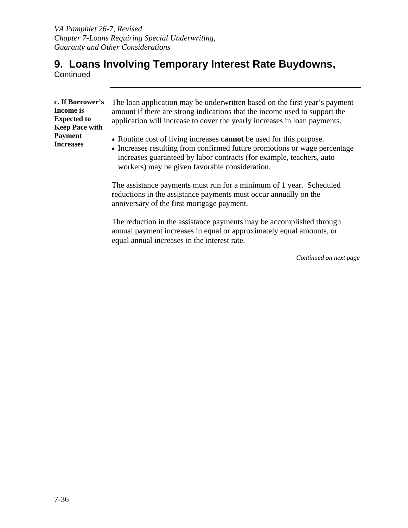#### **9. Loans Involving Temporary Interest Rate Buydowns, Continued**

| c. If Borrower's<br>Income is<br><b>Expected to</b><br><b>Keep Pace with</b><br><b>Payment</b><br><b>Increases</b> | The loan application may be underwritten based on the first year's payment<br>amount if there are strong indications that the income used to support the<br>application will increase to cover the yearly increases in loan payments.<br>• Routine cost of living increases <b>cannot</b> be used for this purpose.<br>• Increases resulting from confirmed future promotions or wage percentage<br>increases guaranteed by labor contracts (for example, teachers, auto<br>workers) may be given favorable consideration. |
|--------------------------------------------------------------------------------------------------------------------|----------------------------------------------------------------------------------------------------------------------------------------------------------------------------------------------------------------------------------------------------------------------------------------------------------------------------------------------------------------------------------------------------------------------------------------------------------------------------------------------------------------------------|
|                                                                                                                    | The assistance payments must run for a minimum of 1 year. Scheduled<br>reductions in the assistance payments must occur annually on the<br>anniversary of the first mortgage payment.                                                                                                                                                                                                                                                                                                                                      |
|                                                                                                                    | The reduction in the assistance payments may be accomplished through<br>annual payment increases in equal or approximately equal amounts, or<br>equal annual increases in the interest rate.                                                                                                                                                                                                                                                                                                                               |
|                                                                                                                    | Continued on next page                                                                                                                                                                                                                                                                                                                                                                                                                                                                                                     |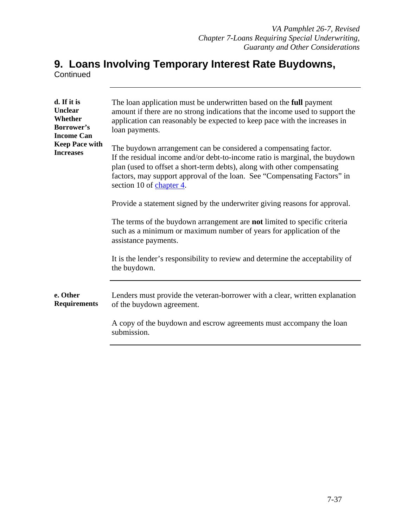#### **9. Loans Involving Temporary Interest Rate Buydowns, Continued**

| d. If it is<br><b>Unclear</b><br>Whether<br>Borrower's<br><b>Income Can</b><br><b>Keep Pace with</b><br><b>Increases</b> | The loan application must be underwritten based on the full payment<br>amount if there are no strong indications that the income used to support the<br>application can reasonably be expected to keep pace with the increases in<br>loan payments.                                                                                |
|--------------------------------------------------------------------------------------------------------------------------|------------------------------------------------------------------------------------------------------------------------------------------------------------------------------------------------------------------------------------------------------------------------------------------------------------------------------------|
|                                                                                                                          | The buydown arrangement can be considered a compensating factor.<br>If the residual income and/or debt-to-income ratio is marginal, the buydown<br>plan (used to offset a short-term debts), along with other compensating<br>factors, may support approval of the loan. See "Compensating Factors" in<br>section 10 of chapter 4. |
|                                                                                                                          | Provide a statement signed by the underwriter giving reasons for approval.                                                                                                                                                                                                                                                         |
|                                                                                                                          | The terms of the buydown arrangement are <b>not</b> limited to specific criteria<br>such as a minimum or maximum number of years for application of the<br>assistance payments.                                                                                                                                                    |
|                                                                                                                          | It is the lender's responsibility to review and determine the acceptability of<br>the buydown.                                                                                                                                                                                                                                     |
| e. Other<br><b>Requirements</b>                                                                                          | Lenders must provide the veteran-borrower with a clear, written explanation<br>of the buydown agreement.                                                                                                                                                                                                                           |
|                                                                                                                          | A copy of the buydown and escrow agreements must accompany the loan<br>submission.                                                                                                                                                                                                                                                 |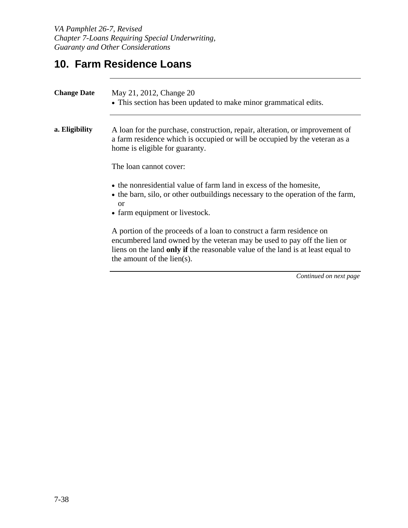### **10. Farm Residence Loans**

| <b>Change Date</b> | May 21, 2012, Change 20<br>• This section has been updated to make minor grammatical edits.                                                                                                                                                                      |
|--------------------|------------------------------------------------------------------------------------------------------------------------------------------------------------------------------------------------------------------------------------------------------------------|
| a. Eligibility     | A loan for the purchase, construction, repair, alteration, or improvement of<br>a farm residence which is occupied or will be occupied by the veteran as a<br>home is eligible for guaranty.                                                                     |
|                    | The loan cannot cover:                                                                                                                                                                                                                                           |
|                    | • the nonresidential value of farm land in excess of the homesite,<br>• the barn, silo, or other outbuildings necessary to the operation of the farm,<br>$\alpha$<br>• farm equipment or livestock.                                                              |
|                    | A portion of the proceeds of a loan to construct a farm residence on<br>encumbered land owned by the veteran may be used to pay off the lien or<br>liens on the land only if the reasonable value of the land is at least equal to<br>the amount of the lien(s). |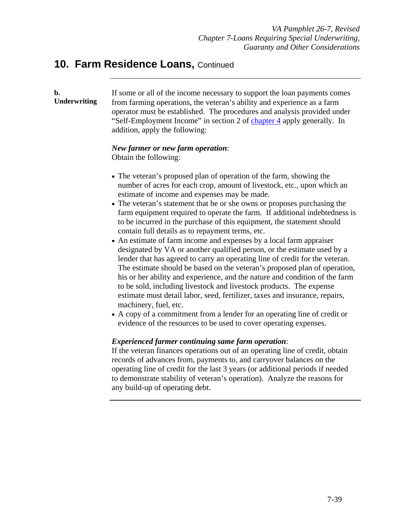#### **10. Farm Residence Loans, Continued**

# **b. Underwriting**

If some or all of the income necessary to support the loan payments comes from farming operations, the veteran's ability and experience as a farm operator must be established. The procedures and analysis provided under "Self-Employment Income" in section 2 of chapter 4 apply generally. In addition, apply the following:

#### *New farmer or new farm operation*:

Obtain the following:

- The veteran's proposed plan of operation of the farm, showing the number of acres for each crop, amount of livestock, etc., upon which an estimate of income and expenses may be made.
- The veteran's statement that he or she owns or proposes purchasing the farm equipment required to operate the farm. If additional indebtedness is to be incurred in the purchase of this equipment, the statement should contain full details as to repayment terms, etc.
- An estimate of farm income and expenses by a local farm appraiser designated by VA or another qualified person, or the estimate used by a lender that has agreed to carry an operating line of credit for the veteran. The estimate should be based on the veteran's proposed plan of operation, his or her ability and experience, and the nature and condition of the farm to be sold, including livestock and livestock products. The expense estimate must detail labor, seed, fertilizer, taxes and insurance, repairs, machinery, fuel, etc.
- A copy of a commitment from a lender for an operating line of credit or evidence of the resources to be used to cover operating expenses.

#### *Experienced farmer continuing same farm operation*:

If the veteran finances operations out of an operating line of credit, obtain records of advances from, payments to, and carryover balances on the operating line of credit for the last 3 years (or additional periods if needed to demonstrate stability of veteran's operation). Analyze the reasons for any build-up of operating debt.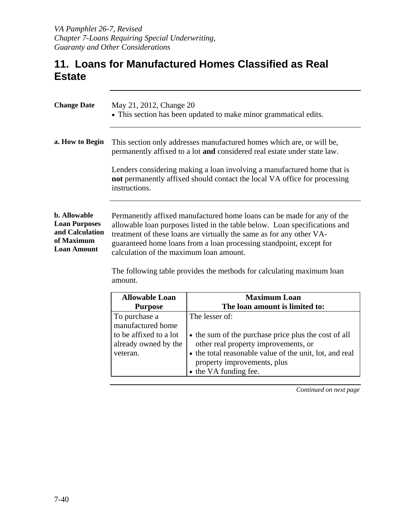### **11. Loans for Manufactured Homes Classified as Real Estate**

| <b>Change Date</b>                                                                                 | May 21, 2012, Change 20<br>• This section has been updated to make minor grammatical edits.                                                                                                                                                                                                                                                    |
|----------------------------------------------------------------------------------------------------|------------------------------------------------------------------------------------------------------------------------------------------------------------------------------------------------------------------------------------------------------------------------------------------------------------------------------------------------|
| a. How to Begin                                                                                    | This section only addresses manufactured homes which are, or will be,<br>permanently affixed to a lot and considered real estate under state law.                                                                                                                                                                                              |
|                                                                                                    | Lenders considering making a loan involving a manufactured home that is<br>not permanently affixed should contact the local VA office for processing<br>instructions.                                                                                                                                                                          |
| <b>b.</b> Allowable<br><b>Loan Purposes</b><br>and Calculation<br>of Maximum<br><b>Loan Amount</b> | Permanently affixed manufactured home loans can be made for any of the<br>allowable loan purposes listed in the table below. Loan specifications and<br>treatment of these loans are virtually the same as for any other VA-<br>guaranteed home loans from a loan processing standpoint, except for<br>calculation of the maximum loan amount. |
|                                                                                                    | The following table provides the methods for calculating maximum loan<br>amount.                                                                                                                                                                                                                                                               |

| <b>Allowable Loan</b>                                                                            | <b>Maximum Loan</b>                                                                                                                                                                                                               |
|--------------------------------------------------------------------------------------------------|-----------------------------------------------------------------------------------------------------------------------------------------------------------------------------------------------------------------------------------|
| <b>Purpose</b>                                                                                   | The loan amount is limited to:                                                                                                                                                                                                    |
| To purchase a<br>manufactured home<br>to be affixed to a lot<br>already owned by the<br>veteran. | The lesser of:<br>• the sum of the purchase price plus the cost of all<br>other real property improvements, or<br>• the total reasonable value of the unit, lot, and real<br>property improvements, plus<br>• the VA funding fee. |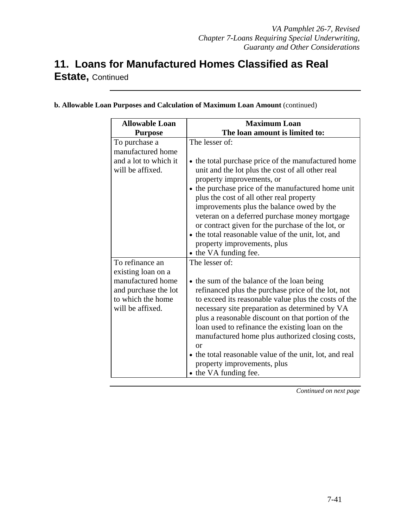# **11. Loans for Manufactured Homes Classified as Real**

**Estate,** Continued

| <b>Allowable Loan</b>                                                              | <b>Maximum Loan</b>                                                                                                                                                                                                                                                                                                                                                                                                                                                                             |
|------------------------------------------------------------------------------------|-------------------------------------------------------------------------------------------------------------------------------------------------------------------------------------------------------------------------------------------------------------------------------------------------------------------------------------------------------------------------------------------------------------------------------------------------------------------------------------------------|
| <b>Purpose</b>                                                                     | The loan amount is limited to:                                                                                                                                                                                                                                                                                                                                                                                                                                                                  |
| To purchase a<br>manufactured home<br>and a lot to which it<br>will be affixed.    | The lesser of:<br>• the total purchase price of the manufactured home<br>unit and the lot plus the cost of all other real<br>property improvements, or<br>• the purchase price of the manufactured home unit                                                                                                                                                                                                                                                                                    |
|                                                                                    | plus the cost of all other real property<br>improvements plus the balance owed by the<br>veteran on a deferred purchase money mortgage<br>or contract given for the purchase of the lot, or<br>• the total reasonable value of the unit, lot, and<br>property improvements, plus<br>• the VA funding fee.                                                                                                                                                                                       |
| To refinance an<br>existing loan on a                                              | The lesser of:                                                                                                                                                                                                                                                                                                                                                                                                                                                                                  |
| manufactured home<br>and purchase the lot<br>to which the home<br>will be affixed. | • the sum of the balance of the loan being<br>refinanced plus the purchase price of the lot, not<br>to exceed its reasonable value plus the costs of the<br>necessary site preparation as determined by VA<br>plus a reasonable discount on that portion of the<br>loan used to refinance the existing loan on the<br>manufactured home plus authorized closing costs,<br>or<br>• the total reasonable value of the unit, lot, and real<br>property improvements, plus<br>• the VA funding fee. |

**b. Allowable Loan Purposes and Calculation of Maximum Loan Amount** (continued)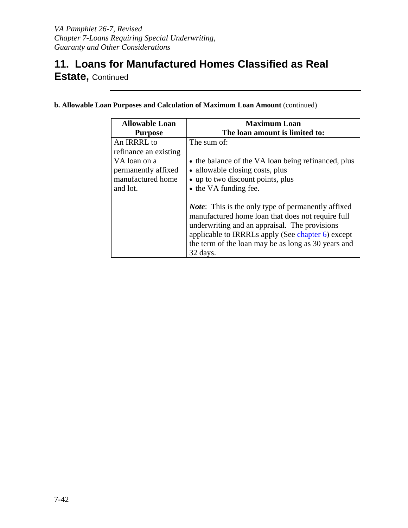### **11. Loans for Manufactured Homes Classified as Real Estate,** Continued

| <b>Allowable Loan</b>                                                | <b>Maximum Loan</b>                                                                                                                                                                                                                                                                      |
|----------------------------------------------------------------------|------------------------------------------------------------------------------------------------------------------------------------------------------------------------------------------------------------------------------------------------------------------------------------------|
| <b>Purpose</b>                                                       | The loan amount is limited to:                                                                                                                                                                                                                                                           |
| An IRRRL to<br>refinance an existing                                 | The sum of:                                                                                                                                                                                                                                                                              |
| VA loan on a<br>permanently affixed<br>manufactured home<br>and lot. | • the balance of the VA loan being refinanced, plus<br>• allowable closing costs, plus<br>• up to two discount points, plus<br>• the VA funding fee.                                                                                                                                     |
|                                                                      | <i>Note</i> : This is the only type of permanently affixed<br>manufactured home loan that does not require full<br>underwriting and an appraisal. The provisions<br>applicable to IRRRLs apply (See chapter 6) except<br>the term of the loan may be as long as 30 years and<br>32 days. |

**b. Allowable Loan Purposes and Calculation of Maximum Loan Amount** (continued)